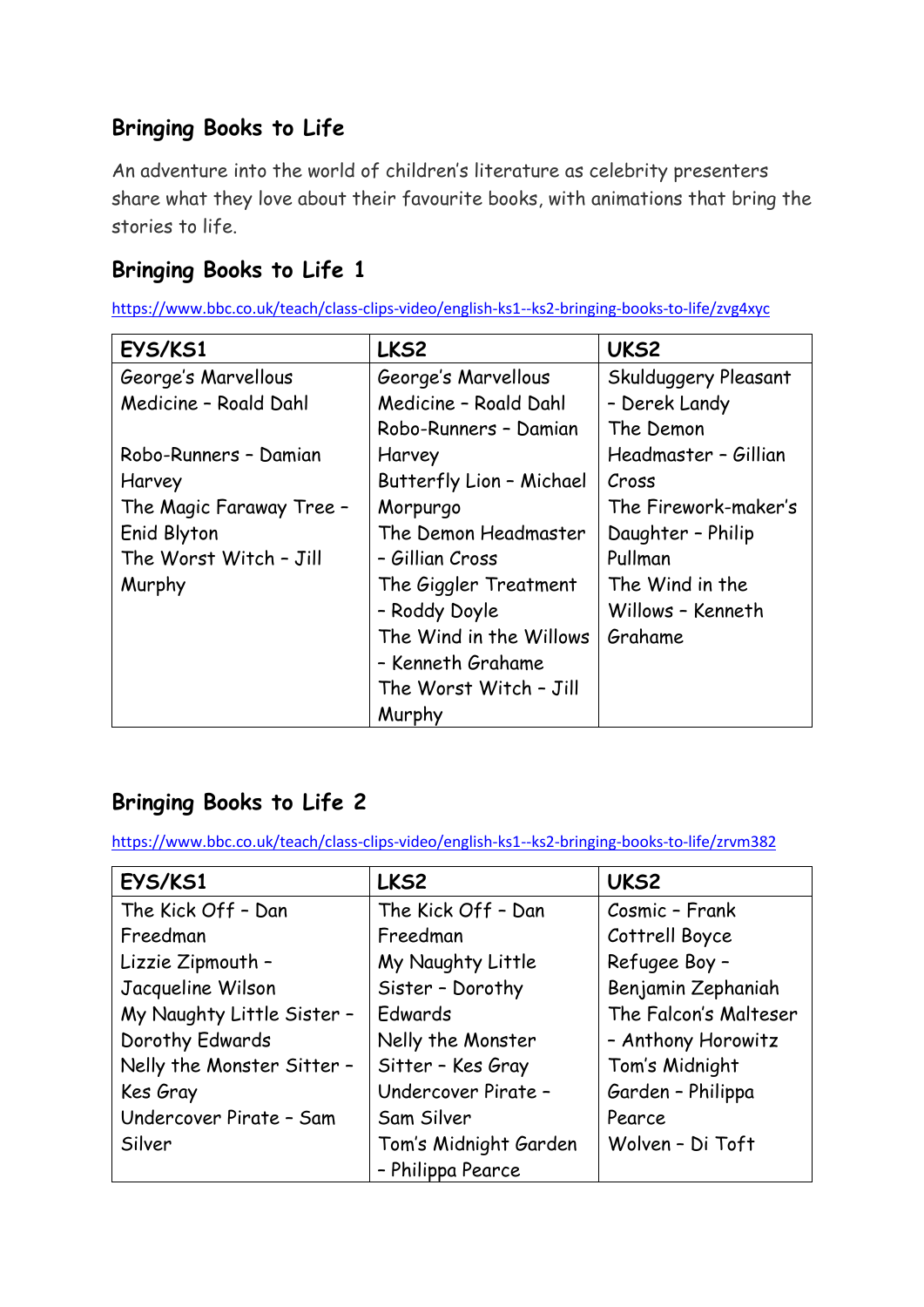# **Bringing Books to Life**

An adventure into the world of children's literature as celebrity presenters share what they love about their favourite books, with animations that bring the stories to life.

## **Bringing Books to Life 1**

<https://www.bbc.co.uk/teach/class-clips-video/english-ks1--ks2-bringing-books-to-life/zvg4xyc>

| EYS/KS1                  | LKS2                     | UKS <sub>2</sub>     |
|--------------------------|--------------------------|----------------------|
| George's Marvellous      | George's Marvellous      | Skulduggery Pleasant |
| Medicine - Roald Dahl    | Medicine - Roald Dahl    | - Derek Landy        |
|                          | Robo-Runners - Damian    | The Demon            |
| Robo-Runners - Damian    | Harvey                   | Headmaster - Gillian |
| Harvey                   | Butterfly Lion - Michael | Cross                |
| The Magic Faraway Tree - | Morpurgo                 | The Firework-maker's |
| Enid Blyton              | The Demon Headmaster     | Daughter - Philip    |
| The Worst Witch - Jill   | - Gillian Cross          | Pullman              |
| Murphy                   | The Giggler Treatment    | The Wind in the      |
|                          | - Roddy Doyle            | Willows - Kenneth    |
|                          | The Wind in the Willows  | Grahame              |
|                          | - Kenneth Grahame        |                      |
|                          | The Worst Witch - Jill   |                      |
|                          | Murphy                   |                      |

# **Bringing Books to Life 2**

<https://www.bbc.co.uk/teach/class-clips-video/english-ks1--ks2-bringing-books-to-life/zrvm382>

| EYS/KS1                    | LKS2                  | UKS2                  |
|----------------------------|-----------------------|-----------------------|
| The Kick Off - Dan         | The Kick Off - Dan    | Cosmic - Frank        |
| Freedman                   | Freedman              | Cottrell Boyce        |
| Lizzie Zipmouth -          | My Naughty Little     | Refugee Boy -         |
| Jacqueline Wilson          | Sister - Dorothy      | Benjamin Zephaniah    |
| My Naughty Little Sister - | Edwards               | The Falcon's Malteser |
| Dorothy Edwards            | Nelly the Monster     | - Anthony Horowitz    |
| Nelly the Monster Sitter - | Sitter - Kes Gray     | Tom's Midnight        |
| Kes Gray                   | Undercover Pirate -   | Garden - Philippa     |
| Undercover Pirate - Sam    | Sam Silver            | Pearce                |
| Silver                     | Tom's Midnight Garden | Wolven - Di Toft      |
|                            | - Philippa Pearce     |                       |